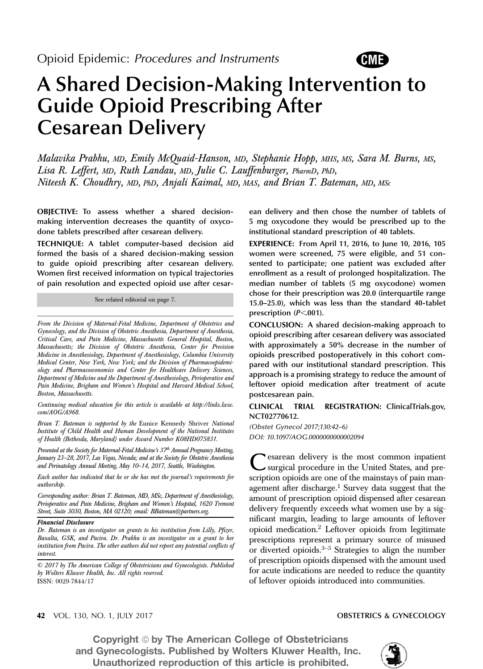

# A Shared Decision-Making Intervention to Guide Opioid Prescribing After Cesarean Delivery

Malavika Prabhu, MD, Emily McQuaid-Hanson, MD, Stephanie Hopp, MHS, MS, Sara M. Burns, MS, Lisa R. Leffert, MD, Ruth Landau, MD, Julie C. Lauffenburger, PharmD, PhD, Niteesh K. Choudhry, MD, PhD, Anjali Kaimal, MD, MAS, and Brian T. Bateman, MD, MSc

OBJECTIVE: To assess whether a shared decisionmaking intervention decreases the quantity of oxycodone tablets prescribed after cesarean delivery.

TECHNIQUE: A tablet computer-based decision aid formed the basis of a shared decision-making session to guide opioid prescribing after cesarean delivery. Women first received information on typical trajectories of pain resolution and expected opioid use after cesar-

See related editorial on page 7.

From the Division of Maternal-Fetal Medicine, Department of Obstetrics and Gynecology, and the Division of Obstetric Anesthesia, Department of Anesthesia, Critical Care, and Pain Medicine, Massachusetts General Hospital, Boston, Massachusetts; the Division of Obstetric Anesthesia, Center for Precision Medicine in Anesthesiology, Department of Anesthesiology, Columbia University Medical Center, New York, New York; and the Division of Pharmacoepidemiology and Pharmacoeconomics and Center for Healthcare Delivery Sciences, Department of Medicine and the Department of Anesthesiology, Perioperative and Pain Medicine, Brigham and Women's Hospital and Harvard Medical School, Boston, Massachusetts.

Continuing medical education for this article is available at [http://links.lww.](http://links.lww.com/AOG/A968) [com/AOG/A968](http://links.lww.com/AOG/A968).

Brian T. Bateman is supported by the Eunice Kennedy Shriver National Institute of Child Health and Human Development of the National Institutes of Health (Bethesda, Maryland) under Award Number K08HD075831.

Presented at the Society for Maternal-Fetal Medicine's 37<sup>th</sup> Annual Pregnancy Meeting, January 23–28, 2017, Las Vegas, Nevada; and at the Society for Obstetric Anesthesia and Perinatology Annual Meeting, May 10–14, 2017, Seattle, Washington.

Each author has indicated that he or she has met the journal's requirements for authorship.

Corresponding author: Brian T. Bateman, MD, MSc, Department of Anesthesiology, Perioperative and Pain Medicine, Brigham and Women's Hospital, 1620 Tremont Street, Suite 3030, Boston, MA 02120; email: BBateman@partners.org.

### Financial Disclosure

Dr. Bateman is an investigator on grants to his institution from Lilly, Pfizer, Baxalta, GSK, and Pacira. Dr. Prabhu is an investigator on a grant to her institution from Pacira. The other authors did not report any potential conflicts of interest.

© 2017 by The American College of Obstetricians and Gynecologists. Published by Wolters Kluwer Health, Inc. All rights reserved. ISSN: 0029-7844/17

ean delivery and then chose the number of tablets of 5 mg oxycodone they would be prescribed up to the institutional standard prescription of 40 tablets.

EXPERIENCE: From April 11, 2016, to June 10, 2016, 105 women were screened, 75 were eligible, and 51 consented to participate; one patient was excluded after enrollment as a result of prolonged hospitalization. The median number of tablets (5 mg oxycodone) women chose for their prescription was 20.0 (interquartile range 15.0–25.0), which was less than the standard 40-tablet prescription  $(P<.001)$ .

CONCLUSION: A shared decision-making approach to opioid prescribing after cesarean delivery was associated with approximately a 50% decrease in the number of opioids prescribed postoperatively in this cohort compared with our institutional standard prescription. This approach is a promising strategy to reduce the amount of leftover opioid medication after treatment of acute postcesarean pain.

CLINICAL TRIAL REGISTRATION: [ClinicalTrials.gov,](http://ClinicalTrials.gov) NCT02770612.

(Obstet Gynecol 2017;130:42–6) DOI: 10.1097/AOG.0000000000002094

esarean delivery is the most common inpatient surgical procedure in the United States, and prescription opioids are one of the mainstays of pain management after discharge.<sup>1</sup> Survey data suggest that the amount of prescription opioid dispensed after cesarean delivery frequently exceeds what women use by a significant margin, leading to large amounts of leftover opioid medication.2 Leftover opioids from legitimate prescriptions represent a primary source of misused or diverted opioids. $3-5$  Strategies to align the number of prescription opioids dispensed with the amount used for acute indications are needed to reduce the quantity of leftover opioids introduced into communities.

Copyright ª by The American College of Obstetricians and Gynecologists. Published by Wolters Kluwer Health, Inc. Unauthorized reproduction of this article is prohibited.

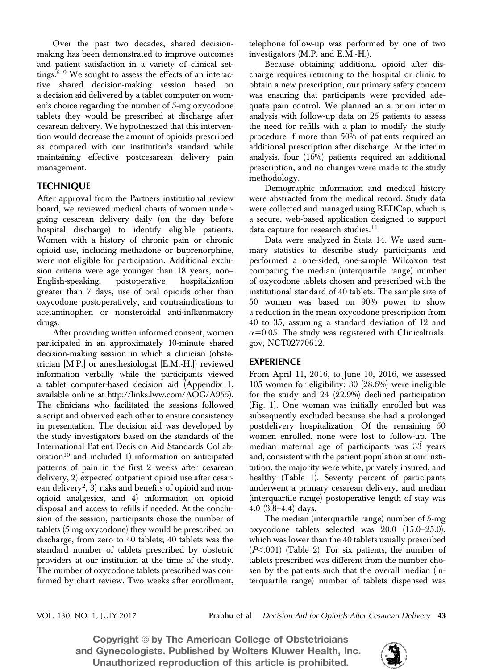Over the past two decades, shared decisionmaking has been demonstrated to improve outcomes and patient satisfaction in a variety of clinical settings. $6-9$  We sought to assess the effects of an interactive shared decision-making session based on a decision aid delivered by a tablet computer on women's choice regarding the number of 5-mg oxycodone tablets they would be prescribed at discharge after cesarean delivery. We hypothesized that this intervention would decrease the amount of opioids prescribed as compared with our institution's standard while maintaining effective postcesarean delivery pain management.

After approval from the Partners institutional review board, we reviewed medical charts of women undergoing cesarean delivery daily (on the day before hospital discharge) to identify eligible patients. Women with a history of chronic pain or chronic opioid use, including methadone or buprenorphine, were not eligible for participation. Additional exclusion criteria were age younger than 18 years, non– English-speaking, postoperative hospitalization greater than 7 days, use of oral opioids other than oxycodone postoperatively, and contraindications to acetaminophen or nonsteroidal anti-inflammatory drugs.

After providing written informed consent, women participated in an approximately 10-minute shared decision-making session in which a clinician (obstetrician [M.P.] or anesthesiologist [E.M.-H.]) reviewed information verbally while the participants viewed a tablet computer-based decision aid (Appendix 1, available online at [http://links.lww.com/AOG/A955\)](http://links.lww.com/AOG/A955). The clinicians who facilitated the sessions followed a script and observed each other to ensure consistency in presentation. The decision aid was developed by the study investigators based on the standards of the International Patient Decision Aid Standards Collaboration $10$  and included 1) information on anticipated patterns of pain in the first 2 weeks after cesarean delivery, 2) expected outpatient opioid use after cesarean delivery<sup>2</sup>, 3) risks and benefits of opioid and nonopioid analgesics, and 4) information on opioid disposal and access to refills if needed. At the conclusion of the session, participants chose the number of tablets (5 mg oxycodone) they would be prescribed on discharge, from zero to 40 tablets; 40 tablets was the standard number of tablets prescribed by obstetric providers at our institution at the time of the study. The number of oxycodone tablets prescribed was confirmed by chart review. Two weeks after enrollment,

telephone follow-up was performed by one of two investigators (M.P. and E.M.-H.).

Because obtaining additional opioid after discharge requires returning to the hospital or clinic to obtain a new prescription, our primary safety concern was ensuring that participants were provided adequate pain control. We planned an a priori interim analysis with follow-up data on 25 patients to assess the need for refills with a plan to modify the study procedure if more than 50% of patients required an additional prescription after discharge. At the interim analysis, four (16%) patients required an additional prescription, and no changes were made to the study methodology.

Demographic information and medical history were abstracted from the medical record. Study data were collected and managed using REDCap, which is a secure, web-based application designed to support data capture for research studies.<sup>11</sup>

Data were analyzed in Stata 14. We used summary statistics to describe study participants and performed a one-sided, one-sample Wilcoxon test comparing the median (interquartile range) number of oxycodone tablets chosen and prescribed with the institutional standard of 40 tablets. The sample size of 50 women was based on 90% power to show a reduction in the mean oxycodone prescription from 40 to 35, assuming a standard deviation of 12 and  $\alpha$ =0.05. The study was registered with [Clinicaltrials.](http://Clinicaltrials.gov) [gov,](http://Clinicaltrials.gov) NCT02770612.

From April 11, 2016, to June 10, 2016, we assessed 105 women for eligibility: 30 (28.6%) were ineligible for the study and 24 (22.9%) declined participation (Fig. 1). One woman was initially enrolled but was subsequently excluded because she had a prolonged postdelivery hospitalization. Of the remaining 50 women enrolled, none were lost to follow-up. The median maternal age of participants was 33 years and, consistent with the patient population at our institution, the majority were white, privately insured, and healthy (Table 1). Seventy percent of participants underwent a primary cesarean delivery, and median (interquartile range) postoperative length of stay was 4.0 (3.8–4.4) days.

The median (interquartile range) number of 5-mg oxycodone tablets selected was 20.0 (15.0–25.0), which was lower than the 40 tablets usually prescribed  $(P<.001)$  (Table 2). For six patients, the number of tablets prescribed was different from the number chosen by the patients such that the overall median (interquartile range) number of tablets dispensed was

VOL. 130, NO. 1, JULY 2017 **Prabhu et al** Decision Aid for Opioids After Cesarean Delivery 43

Copyright © by The American College of Obstetricians and Gynecologists. Published by Wolters Kluwer Health, Inc. Unauthorized reproduction of this article is prohibited.

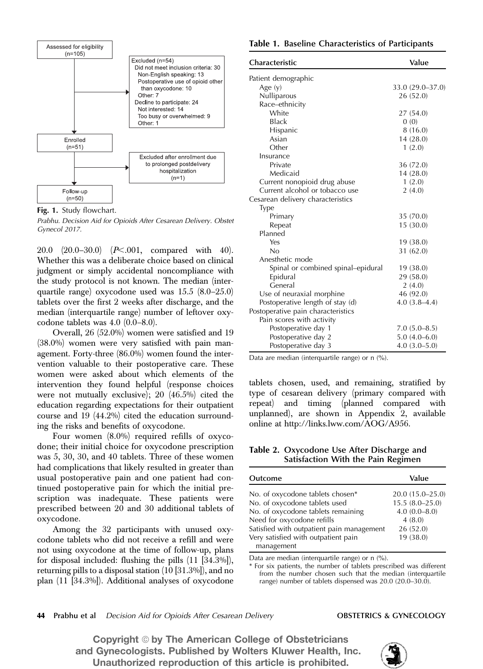

Fig. 1. Study flowchart.

Prabhu. Decision Aid for Opioids After Cesarean Delivery. Obstet Gynecol 2017.

20.0  $(20.0-30.0)$   $(P<.001$ , compared with 40). Whether this was a deliberate choice based on clinical judgment or simply accidental noncompliance with the study protocol is not known. The median (interquartile range) oxycodone used was 15.5 (8.0–25.0) tablets over the first 2 weeks after discharge, and the median (interquartile range) number of leftover oxycodone tablets was 4.0 (0.0–8.0).

Overall, 26 (52.0%) women were satisfied and 19 (38.0%) women were very satisfied with pain management. Forty-three (86.0%) women found the intervention valuable to their postoperative care. These women were asked about which elements of the intervention they found helpful (response choices were not mutually exclusive); 20 (46.5%) cited the education regarding expectations for their outpatient course and 19 (44.2%) cited the education surrounding the risks and benefits of oxycodone.

Four women (8.0%) required refills of oxycodone; their initial choice for oxycodone prescription was 5, 30, 30, and 40 tablets. Three of these women had complications that likely resulted in greater than usual postoperative pain and one patient had continued postoperative pain for which the initial prescription was inadequate. These patients were prescribed between 20 and 30 additional tablets of oxycodone.

Among the 32 participants with unused oxycodone tablets who did not receive a refill and were not using oxycodone at the time of follow-up, plans for disposal included: flushing the pills (11 [34.3%]), returning pills to a disposal station (10 [31.3%]), and no plan (11 [34.3%]). Additional analyses of oxycodone

Table 1. Baseline Characteristics of Participants

| Characteristic                     | Value            |
|------------------------------------|------------------|
| Patient demographic                |                  |
| Age (y)                            | 33.0 (29.0–37.0) |
| Nulliparous                        | 26 (52.0)        |
| Race-ethnicity                     |                  |
| White                              | 27 (54.0)        |
| <b>Black</b>                       | 0(0)             |
| Hispanic                           | 8(16.0)          |
| Asian                              | 14 (28.0)        |
| Other                              | 1(2.0)           |
| Insurance                          |                  |
| Private                            | 36 (72.0)        |
| Medicaid                           | 14 (28.0)        |
| Current nonopioid drug abuse       | 1(2.0)           |
| Current alcohol or tobacco use     | 2(4.0)           |
| Cesarean delivery characteristics  |                  |
| Type                               |                  |
| Primary                            | 35 (70.0)        |
| Repeat                             | 15(30.0)         |
| Planned                            |                  |
| <b>Yes</b>                         | 19 (38.0)        |
| No                                 | 31 (62.0)        |
| Anesthetic mode                    |                  |
| Spinal or combined spinal–epidural | 19 (38.0)        |
| Epidural                           | 29 (58.0)        |
| General                            | 2(4.0)           |
| Use of neuraxial morphine          | 46 (92.0)        |
| Postoperative length of stay (d)   | $4.0(3.8-4.4)$   |
| Postoperative pain characteristics |                  |
| Pain scores with activity          |                  |
| Postoperative day 1                | $7.0(5.0-8.5)$   |
| Postoperative day 2                | $5.0(4.0-6.0)$   |
| Postoperative day 3                | $4.0(3.0-5.0)$   |

Data are median (interquartile range) or n (%).

tablets chosen, used, and remaining, stratified by type of cesarean delivery (primary compared with repeat) and timing (planned compared with unplanned), are shown in Appendix 2, available online at http://links.lww.com/AOG/A956.

Table 2. Oxycodone Use After Discharge and Satisfaction With the Pain Regimen

| Outcome                                   | Value             |
|-------------------------------------------|-------------------|
| No. of oxycodone tablets chosen*          | $20.0(15.0-25.0)$ |
| No. of oxycodone tablets used             | $15.5(8.0-25.0)$  |
| No. of oxycodone tablets remaining        | $4.0(0.0 - 8.0)$  |
| Need for oxycodone refills                | 4(8.0)            |
| Satisfied with outpatient pain management | 26(52.0)          |
| Very satisfied with outpatient pain       | 19 (38.0)         |
| management                                |                   |

Data are median (interquartile range) or n (%).

\* For six patients, the number of tablets prescribed was different from the number chosen such that the median (interquartile range) number of tablets dispensed was 20.0 (20.0–30.0).

### 44 Prabhu et al Decision Aid for Opioids After Cesarean Delivery **Castlet COSTETRICS & GYNECOLOGY**

Copyright ª by The American College of Obstetricians and Gynecologists. Published by Wolters Kluwer Health, Inc. Unauthorized reproduction of this article is prohibited.

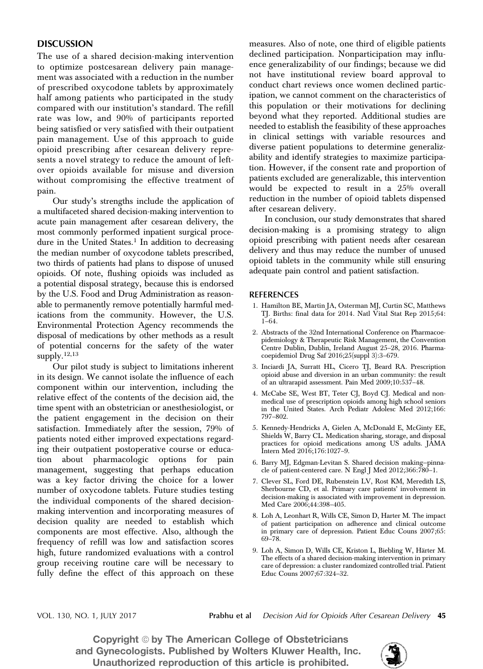The use of a shared decision-making intervention to optimize postcesarean delivery pain management was associated with a reduction in the number of prescribed oxycodone tablets by approximately half among patients who participated in the study compared with our institution's standard. The refill rate was low, and 90% of participants reported being satisfied or very satisfied with their outpatient pain management. Use of this approach to guide opioid prescribing after cesarean delivery represents a novel strategy to reduce the amount of leftover opioids available for misuse and diversion without compromising the effective treatment of pain.

Our study's strengths include the application of a multifaceted shared decision-making intervention to acute pain management after cesarean delivery, the most commonly performed inpatient surgical procedure in the United States.<sup>1</sup> In addition to decreasing the median number of oxycodone tablets prescribed, two thirds of patients had plans to dispose of unused opioids. Of note, flushing opioids was included as a potential disposal strategy, because this is endorsed by the U.S. Food and Drug Administration as reasonable to permanently remove potentially harmful medications from the community. However, the U.S. Environmental Protection Agency recommends the disposal of medications by other methods as a result of potential concerns for the safety of the water supply.12,13

Our pilot study is subject to limitations inherent in its design. We cannot isolate the influence of each component within our intervention, including the relative effect of the contents of the decision aid, the time spent with an obstetrician or anesthesiologist, or the patient engagement in the decision on their satisfaction. Immediately after the session, 79% of patients noted either improved expectations regarding their outpatient postoperative course or education about pharmacologic options for pain management, suggesting that perhaps education was a key factor driving the choice for a lower number of oxycodone tablets. Future studies testing the individual components of the shared decisionmaking intervention and incorporating measures of decision quality are needed to establish which components are most effective. Also, although the frequency of refill was low and satisfaction scores high, future randomized evaluations with a control group receiving routine care will be necessary to fully define the effect of this approach on these

measures. Also of note, one third of eligible patients declined participation. Nonparticipation may influence generalizability of our findings; because we did not have institutional review board approval to conduct chart reviews once women declined participation, we cannot comment on the characteristics of this population or their motivations for declining beyond what they reported. Additional studies are needed to establish the feasibility of these approaches in clinical settings with variable resources and diverse patient populations to determine generalizability and identify strategies to maximize participation. However, if the consent rate and proportion of patients excluded are generalizable, this intervention would be expected to result in a 25% overall reduction in the number of opioid tablets dispensed after cesarean delivery.

In conclusion, our study demonstrates that shared decision-making is a promising strategy to align opioid prescribing with patient needs after cesarean delivery and thus may reduce the number of unused opioid tablets in the community while still ensuring adequate pain control and patient satisfaction.

## REFERENCES

- 1. Hamilton BE, Martin JA, Osterman MJ, Curtin SC, Matthews TJ. Births: final data for 2014. Natl Vital Stat Rep 2015;64: 1–64.
- 2. Abstracts of the 32nd International Conference on Pharmacoepidemiology & Therapeutic Risk Management, the Convention Centre Dublin, Dublin, Ireland August 25–28, 2016. Pharmacoepidemiol Drug Saf 2016;25(suppl 3):3–679.
- 3. Inciardi JA, Surratt HL, Cicero TJ, Beard RA. Prescription opioid abuse and diversion in an urban community: the result of an ultrarapid assessment. Pain Med 2009;10:537–48.
- 4. McCabe SE, West BT, Teter CJ, Boyd CJ. Medical and nonmedical use of prescription opioids among high school seniors in the United States. Arch Pediatr Adolesc Med 2012;166: 797–802.
- 5. Kennedy-Hendricks A, Gielen A, McDonald E, McGinty EE, Shields W, Barry CL. Medication sharing, storage, and disposal practices for opioid medications among US adults. JAMA Intern Med 2016;176:1027–9.
- 6. Barry MJ, Edgman-Levitan S. Shared decision making—pinnacle of patient-centered care. N Engl J Med 2012;366:780–1.
- 7. Clever SL, Ford DE, Rubenstein LV, Rost KM, Meredith LS, Sherbourne CD, et al. Primary care patients' involvement in decision-making is associated with improvement in depression. Med Care 2006;44:398–405.
- 8. Loh A, Leonhart R, Wills CE, Simon D, Harter M. The impact of patient participation on adherence and clinical outcome in primary care of depression. Patient Educ Couns 2007;65: 69–78.
- 9. Loh A, Simon D, Wills CE, Kriston L, Biebling W, Härter M. The effects of a shared decision-making intervention in primary care of depression: a cluster randomized controlled trial. Patient Educ Couns 2007;67:324–32.

VOL. 130, NO. 1, JULY 2017 Prabhu et al Decision Aid for Opioids After Cesarean Delivery 45

Copyright © by The American College of Obstetricians and Gynecologists. Published by Wolters Kluwer Health, Inc. Unauthorized reproduction of this article is prohibited.